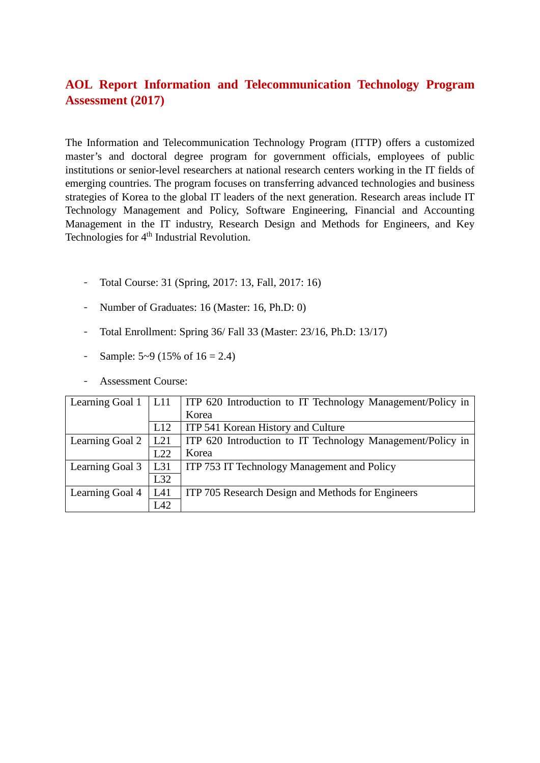# **AOL Report Information and Telecommunication Technology Program Assessment (2017)**

The Information and Telecommunication Technology Program (ITTP) offers a customized master's and doctoral degree program for government officials, employees of public institutions or senior-level researchers at national research centers working in the IT fields of emerging countries. The program focuses on transferring advanced technologies and business strategies of Korea to the global IT leaders of the next generation. Research areas include IT Technology Management and Policy, Software Engineering, Financial and Accounting Management in the IT industry, Research Design and Methods for Engineers, and Key Technologies for 4<sup>th</sup> Industrial Revolution.

- Total Course: 31 (Spring, 2017: 13, Fall, 2017: 16)
- Number of Graduates: 16 (Master: 16, Ph.D: 0)
- Total Enrollment: Spring 36/ Fall 33 (Master: 23/16, Ph.D: 13/17)
- Sample:  $5-9$  (15% of  $16 = 2.4$ )
- Assessment Course:

|                 |     | Learning Goal 1   L11   ITP 620 Introduction to IT Technology Management/Policy in |
|-----------------|-----|------------------------------------------------------------------------------------|
|                 |     | Korea                                                                              |
|                 | L12 | ITP 541 Korean History and Culture                                                 |
| Learning Goal 2 | L21 | ITP 620 Introduction to IT Technology Management/Policy in                         |
|                 | L22 | Korea                                                                              |
| Learning Goal 3 | L31 | ITP 753 IT Technology Management and Policy                                        |
|                 | L32 |                                                                                    |
| Learning Goal 4 | L41 | ITP 705 Research Design and Methods for Engineers                                  |
|                 | L42 |                                                                                    |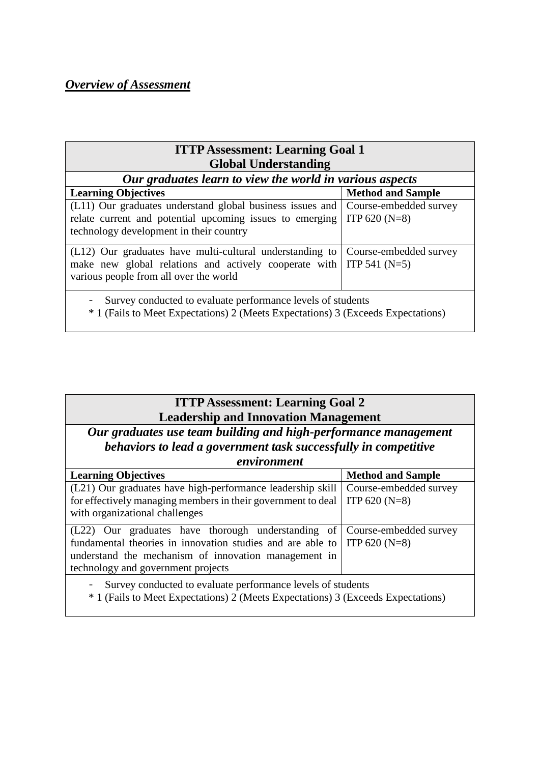# *Overview of Assessment*

| <b>ITTP Assessment: Learning Goal 1</b>                                                                                                                                                 |                                           |  |  |  |  |  |  |  |  |  |
|-----------------------------------------------------------------------------------------------------------------------------------------------------------------------------------------|-------------------------------------------|--|--|--|--|--|--|--|--|--|
| <b>Global Understanding</b>                                                                                                                                                             |                                           |  |  |  |  |  |  |  |  |  |
| Our graduates learn to view the world in various aspects                                                                                                                                |                                           |  |  |  |  |  |  |  |  |  |
| <b>Learning Objectives</b>                                                                                                                                                              | <b>Method and Sample</b>                  |  |  |  |  |  |  |  |  |  |
| (L11) Our graduates understand global business issues and Course-embedded survey<br>relate current and potential upcoming issues to emerging<br>technology development in their country | ITP $620(N=8)$                            |  |  |  |  |  |  |  |  |  |
| (L12) Our graduates have multi-cultural understanding to<br>make new global relations and actively cooperate with<br>various people from all over the world                             | Course-embedded survey<br>$ITP 541 (N=5)$ |  |  |  |  |  |  |  |  |  |
| Survey conducted to evaluate performance levels of students<br>* 1 (Fails to Meet Expectations) 2 (Meets Expectations) 3 (Exceeds Expectations)                                         |                                           |  |  |  |  |  |  |  |  |  |

# **ITTP Assessment: Learning Goal 2 Leadership and Innovation Management**

*Our graduates use team building and high-performance management behaviors to lead a government task successfully in competitive environment*

| environment                                                                                                                                                                                                                                                 |                                           |  |  |  |  |  |  |
|-------------------------------------------------------------------------------------------------------------------------------------------------------------------------------------------------------------------------------------------------------------|-------------------------------------------|--|--|--|--|--|--|
| <b>Learning Objectives</b>                                                                                                                                                                                                                                  | <b>Method and Sample</b>                  |  |  |  |  |  |  |
| (L21) Our graduates have high-performance leadership skill<br>for effectively managing members in their government to deal<br>with organizational challenges                                                                                                | Course-embedded survey<br>ITP 620 $(N=8)$ |  |  |  |  |  |  |
| (L22) Our graduates have thorough understanding of Course-embedded survey<br>fundamental theories in innovation studies and are able to $\vert$ ITP 620 (N=8)<br>understand the mechanism of innovation management in<br>technology and government projects |                                           |  |  |  |  |  |  |
| Survey conducted to evaluate performance levels of students<br>$\blacksquare$<br>* 1 (Fails to Meet Expectations) 2 (Meets Expectations) 3 (Exceeds Expectations)                                                                                           |                                           |  |  |  |  |  |  |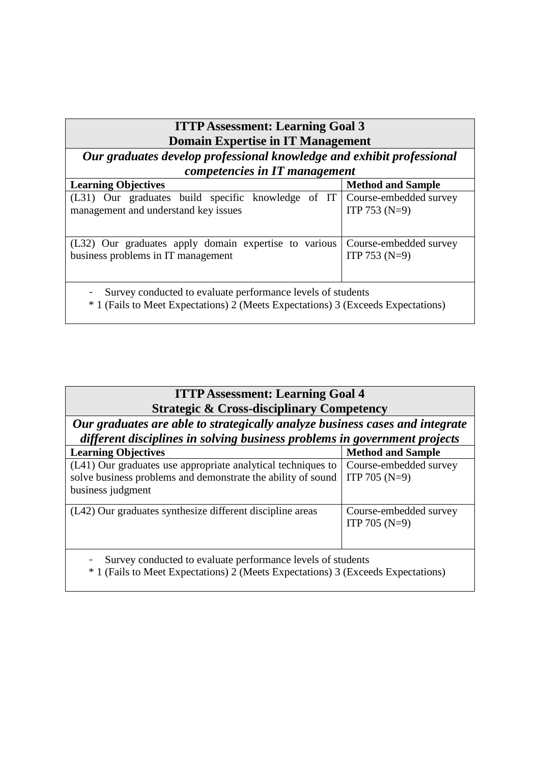# **ITTP Assessment: Learning Goal 3 Domain Expertise in IT Management**

*Our graduates develop professional knowledge and exhibit professional competencies in IT management*

| <b>Learning Objectives</b>                                                       | <b>Method and Sample</b> |  |  |  |  |  |  |  |  |
|----------------------------------------------------------------------------------|--------------------------|--|--|--|--|--|--|--|--|
| (L31) Our graduates build specific knowledge of IT Course-embedded survey        |                          |  |  |  |  |  |  |  |  |
| management and understand key issues                                             | ITP 753 $(N=9)$          |  |  |  |  |  |  |  |  |
|                                                                                  |                          |  |  |  |  |  |  |  |  |
| (L32) Our graduates apply domain expertise to various                            | Course-embedded survey   |  |  |  |  |  |  |  |  |
| business problems in IT management                                               | ITP 753 $(N=9)$          |  |  |  |  |  |  |  |  |
|                                                                                  |                          |  |  |  |  |  |  |  |  |
| Survey conducted to evaluate performance levels of students<br>$\sim$            |                          |  |  |  |  |  |  |  |  |
| * 1 (Fails to Meet Expectations) 2 (Meets Expectations) 3 (Exceeds Expectations) |                          |  |  |  |  |  |  |  |  |

| <b>ITTP Assessment: Learning Goal 4</b><br><b>Strategic &amp; Cross-disciplinary Competency</b>                                                           |                                           |  |  |  |  |  |  |  |  |
|-----------------------------------------------------------------------------------------------------------------------------------------------------------|-------------------------------------------|--|--|--|--|--|--|--|--|
| Our graduates are able to strategically analyze business cases and integrate<br>different disciplines in solving business problems in government projects |                                           |  |  |  |  |  |  |  |  |
| <b>Learning Objectives</b><br><b>Method and Sample</b>                                                                                                    |                                           |  |  |  |  |  |  |  |  |
| (L41) Our graduates use appropriate analytical techniques to<br>solve business problems and demonstrate the ability of sound<br>business judgment         | Course-embedded survey<br>ITP 705 $(N=9)$ |  |  |  |  |  |  |  |  |
| (L42) Our graduates synthesize different discipline areas                                                                                                 | Course-embedded survey<br>ITP 705 $(N=9)$ |  |  |  |  |  |  |  |  |
| Survey conducted to evaluate performance levels of students<br>* 1 (Fails to Meet Expectations) 2 (Meets Expectations) 3 (Exceeds Expectations)           |                                           |  |  |  |  |  |  |  |  |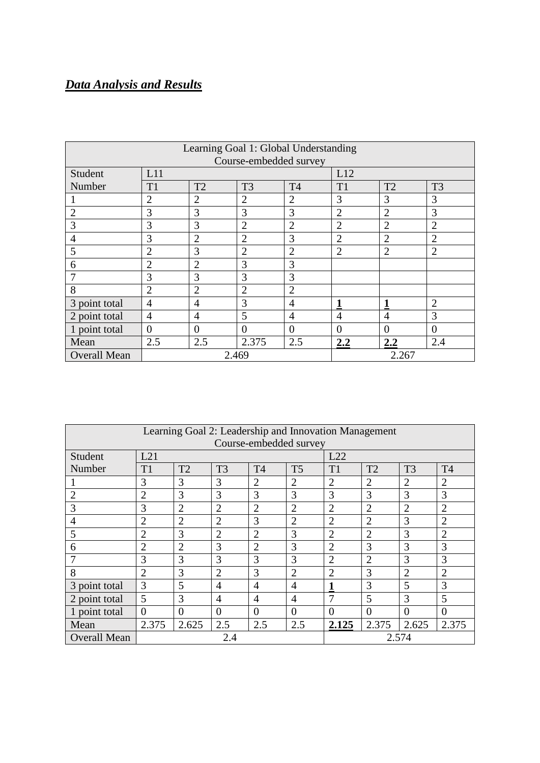# *Data Analysis and Results*

| Learning Goal 1: Global Understanding<br>Course-embedded survey |                |                |                |                |                |                |                |  |  |
|-----------------------------------------------------------------|----------------|----------------|----------------|----------------|----------------|----------------|----------------|--|--|
| Student                                                         | L11            |                |                |                | L12            |                |                |  |  |
| Number                                                          | T <sub>1</sub> | T <sub>2</sub> | T <sub>3</sub> | T <sub>4</sub> | T <sub>1</sub> | T <sub>2</sub> | T <sub>3</sub> |  |  |
|                                                                 | $\overline{2}$ | $\overline{2}$ | $\overline{2}$ | $\overline{2}$ | 3              | 3              | 3              |  |  |
| $\overline{2}$                                                  | 3              | 3              | 3              | 3              | $\overline{2}$ | $\overline{2}$ | 3              |  |  |
| 3                                                               | 3              | 3              | $\overline{2}$ | $\overline{2}$ | $\overline{2}$ | $\overline{2}$ | $\overline{2}$ |  |  |
| $\overline{4}$                                                  | 3              | $\overline{2}$ | $\overline{2}$ | 3              | $\overline{2}$ | $\overline{2}$ | $\overline{2}$ |  |  |
| 5                                                               | $\overline{2}$ | 3              | $\overline{2}$ | $\overline{2}$ | $\overline{2}$ | $\overline{2}$ | $\overline{2}$ |  |  |
| 6                                                               | $\overline{2}$ | $\overline{2}$ | 3              | 3              |                |                |                |  |  |
| 7                                                               | 3              | 3              | 3              | 3              |                |                |                |  |  |
| 8                                                               | $\overline{2}$ | $\overline{2}$ | $\overline{2}$ | $\overline{2}$ |                |                |                |  |  |
| 3 point total                                                   | $\overline{4}$ | $\overline{4}$ | 3              | $\overline{4}$ | 1              | 1              | $\overline{2}$ |  |  |
| 2 point total                                                   | $\overline{4}$ | $\overline{4}$ | 5              | $\overline{4}$ | $\overline{4}$ | $\overline{4}$ | 3              |  |  |
| 1 point total                                                   | $\overline{0}$ | $\overline{0}$ | $\overline{0}$ | $\theta$       | $\theta$       | $\overline{0}$ | $\theta$       |  |  |
| Mean                                                            | 2.5            | 2.5            | 2.375          | 2.5            | 2.2            | 2.2            | 2.4            |  |  |
| <b>Overall Mean</b>                                             |                |                | 2.469          |                |                | 2.267          |                |  |  |

| Learning Goal 2: Leadership and Innovation Management |                |                |                |                |                |                |                |                |                |  |
|-------------------------------------------------------|----------------|----------------|----------------|----------------|----------------|----------------|----------------|----------------|----------------|--|
| Course-embedded survey                                |                |                |                |                |                |                |                |                |                |  |
| Student                                               | L21            |                |                |                |                | L22            |                |                |                |  |
| Number                                                | T1             | T2             | T <sub>3</sub> | T <sub>4</sub> | T <sub>5</sub> | T1             | T2             | T <sub>3</sub> | T <sub>4</sub> |  |
|                                                       | 3              | 3              | 3              | $\overline{2}$ | $\overline{2}$ | $\overline{2}$ | $\overline{2}$ | $\overline{2}$ | $\overline{2}$ |  |
| $\overline{2}$                                        | $\overline{2}$ | 3              | 3              | 3              | 3              | $\overline{3}$ | 3              | 3              | 3              |  |
| 3                                                     | 3              | $\overline{2}$ | $\overline{2}$ | $\overline{2}$ | $\overline{2}$ | $\overline{2}$ | $\overline{2}$ | $\overline{2}$ | $\overline{2}$ |  |
| 4                                                     | $\overline{2}$ | $\overline{2}$ | $\overline{2}$ | 3              | $\overline{2}$ | $\overline{2}$ | $\overline{2}$ | 3              | $\overline{2}$ |  |
| 5                                                     | $\overline{2}$ | 3              | $\overline{2}$ | $\overline{2}$ | 3              | $\overline{2}$ | $\overline{2}$ | 3              | $\overline{2}$ |  |
| 6                                                     | $\overline{2}$ | $\overline{2}$ | 3              | $\overline{2}$ | 3              | $\overline{2}$ | 3              | 3              | 3              |  |
|                                                       | 3              | 3              | 3              | 3              | 3              | $\overline{2}$ | $\overline{2}$ | 3              | 3              |  |
| 8                                                     | $\overline{2}$ | 3              | $\overline{2}$ | 3              | $\overline{2}$ | $\overline{2}$ | 3              | $\overline{2}$ | $\overline{2}$ |  |
| 3 point total                                         | 3              | 5              | $\overline{4}$ | 4              | $\overline{4}$ | 1              | 3              | 5              | 3              |  |
| 2 point total                                         | 5              | 3              | $\overline{4}$ | 4              | $\overline{4}$ | 7              | 5              | 3              | 5              |  |
| 1 point total                                         | $\theta$       | $\theta$       | $\theta$       | $\Omega$       | $\Omega$       | $\Omega$       | $\theta$       | $\theta$       | $\Omega$       |  |
| Mean                                                  | 2.375          | 2.625          | 2.5            | 2.5            | 2.5            | 2.125          | 2.375          | 2.625          | 2.375          |  |
| <b>Overall Mean</b>                                   |                |                | 2.4            |                |                | 2.574          |                |                |                |  |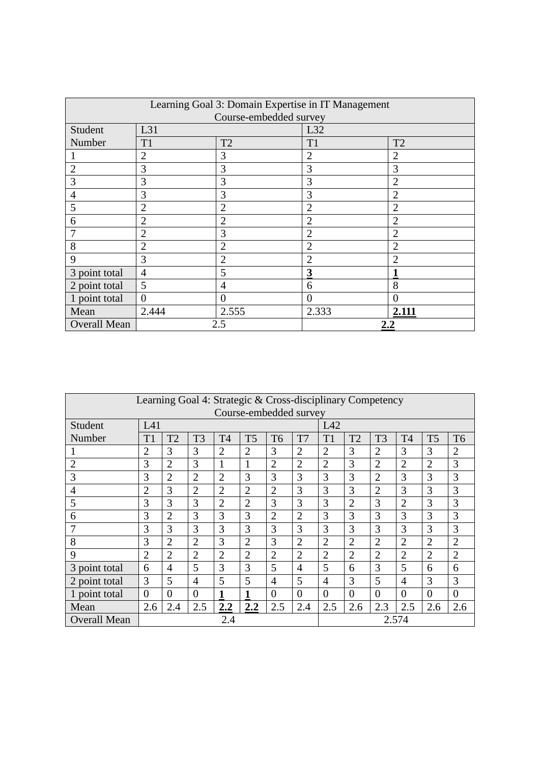| Learning Goal 3: Domain Expertise in IT Management |                |                |                      |                |  |  |  |  |  |  |  |
|----------------------------------------------------|----------------|----------------|----------------------|----------------|--|--|--|--|--|--|--|
| Course-embedded survey                             |                |                |                      |                |  |  |  |  |  |  |  |
| Student                                            | L31            |                | L32                  |                |  |  |  |  |  |  |  |
| Number                                             | T1             | T <sub>2</sub> | T1<br>T <sub>2</sub> |                |  |  |  |  |  |  |  |
|                                                    | $\overline{2}$ | 3              | $\overline{2}$       | $\overline{2}$ |  |  |  |  |  |  |  |
| $\overline{2}$                                     | 3              | 3              | 3                    | 3              |  |  |  |  |  |  |  |
| 3                                                  | 3              | 3              | 3                    | $\overline{2}$ |  |  |  |  |  |  |  |
| $\overline{4}$                                     | 3              | 3              | 3                    | $\overline{2}$ |  |  |  |  |  |  |  |
| 5                                                  | $\overline{2}$ | $\overline{2}$ | $\overline{2}$       | $\overline{2}$ |  |  |  |  |  |  |  |
| 6                                                  | $\overline{2}$ | $\overline{2}$ | $\overline{2}$       | $\overline{2}$ |  |  |  |  |  |  |  |
| 7                                                  | $\overline{2}$ | 3              | $\overline{2}$       | $\overline{2}$ |  |  |  |  |  |  |  |
| 8                                                  | $\overline{2}$ | $\overline{2}$ | $\overline{2}$       | $\overline{2}$ |  |  |  |  |  |  |  |
| 9                                                  | 3              | $\overline{2}$ | $\overline{2}$       | $\overline{2}$ |  |  |  |  |  |  |  |
| 3 point total                                      | $\overline{4}$ | 5              | 3                    |                |  |  |  |  |  |  |  |
| 2 point total                                      | 5              | 4              | 6                    | 8              |  |  |  |  |  |  |  |
| 1 point total                                      | $\overline{0}$ | $\Omega$       | $\Omega$             | $\overline{0}$ |  |  |  |  |  |  |  |
| Mean                                               | 2.444          | 2.555          | 2.333                | 2.111          |  |  |  |  |  |  |  |
| <b>Overall Mean</b>                                |                | 2.5            |                      | 2.2            |  |  |  |  |  |  |  |

| Learning Goal 4: Strategic & Cross-disciplinary Competency |                |                |                |                |                |                |                |                |                |                |                |                |                |
|------------------------------------------------------------|----------------|----------------|----------------|----------------|----------------|----------------|----------------|----------------|----------------|----------------|----------------|----------------|----------------|
| Course-embedded survey                                     |                |                |                |                |                |                |                |                |                |                |                |                |                |
| Student                                                    | L41            |                |                |                |                |                |                | L42            |                |                |                |                |                |
| Number                                                     | T1             | T <sub>2</sub> | T <sub>3</sub> | T <sub>4</sub> | T <sub>5</sub> | T <sub>6</sub> | T7             | T1             | T <sub>2</sub> | T <sub>3</sub> | T <sub>4</sub> | T <sub>5</sub> | T <sub>6</sub> |
|                                                            | 2              | 3              | 3              | $\overline{2}$ | $\overline{2}$ | 3              | $\overline{2}$ | $\overline{2}$ | 3              | $\overline{2}$ | 3              | 3              | $\overline{2}$ |
| $\overline{2}$                                             | 3              | $\overline{2}$ | 3              | 1              | 1              | $\overline{2}$ | $\overline{2}$ | $\overline{2}$ | 3              | $\overline{2}$ | $\overline{2}$ | $\overline{2}$ | 3              |
| 3                                                          | 3              | $\overline{2}$ | $\overline{2}$ | $\overline{2}$ | 3              | 3              | 3              | 3              | 3              | $\overline{2}$ | 3              | 3              | 3              |
| 4                                                          | $\overline{2}$ | 3              | $\overline{2}$ | $\overline{2}$ | $\overline{2}$ | $\overline{2}$ | 3              | 3              | 3              | $\overline{2}$ | 3              | 3              | 3              |
| 5                                                          | 3              | 3              | 3              | $\overline{2}$ | $\overline{2}$ | 3              | 3              | 3              | $\overline{2}$ | 3              | $\overline{2}$ | 3              | 3              |
| 6                                                          | 3              | $\overline{2}$ | 3              | 3              | 3              | $\overline{2}$ | $\overline{2}$ | 3              | 3              | 3              | 3              | 3              | 3              |
| 7                                                          | 3              | 3              | 3              | 3              | 3              | 3              | 3              | 3              | 3              | 3              | 3              | 3              | 3              |
| 8                                                          | 3              | $\overline{2}$ | $\overline{2}$ | 3              | $\overline{2}$ | 3              | $\overline{2}$ | $\overline{2}$ | $\overline{2}$ | $\overline{2}$ | $\overline{2}$ | $\overline{2}$ | $\overline{2}$ |
| 9                                                          | $\overline{2}$ | $\overline{2}$ | $\overline{2}$ | $\overline{2}$ | $\overline{2}$ | $\overline{2}$ | $\overline{2}$ | $\overline{2}$ | $\overline{2}$ | $\overline{2}$ | $\overline{2}$ | $\overline{2}$ | $\overline{2}$ |
| 3 point total                                              | 6              | $\overline{4}$ | 5              | 3              | 3              | 5              | $\overline{4}$ | 5              | 6              | 3              | 5              | 6              | 6              |
| 2 point total                                              | 3              | 5              | 4              | 5              | 5              | 4              | 5              | $\overline{4}$ | 3              | 5              | 4              | 3              | 3              |
| point total                                                | $\overline{0}$ | $\Omega$       | $\Omega$       | 1              |                | $\overline{0}$ | $\theta$       | $\Omega$       | $\overline{0}$ | $\theta$       | $\theta$       | $\Omega$       | $\theta$       |
| Mean                                                       | 2.6            | 2.4            | 2.5            | 2.2            | 2.2            | 2.5            | 2.4            | 2.5            | 2.6            | 2.3            | 2.5            | 2.6            | 2.6            |
| <b>Overall Mean</b>                                        |                | 2.4            |                |                |                |                | 2.574          |                |                |                |                |                |                |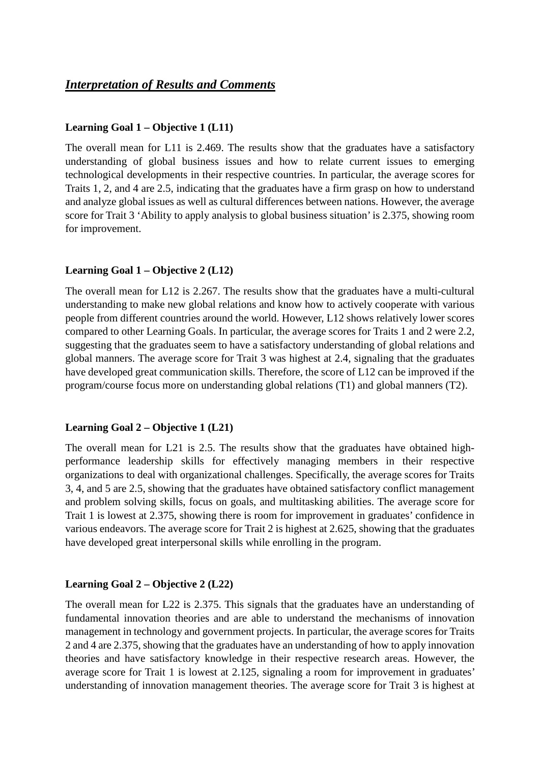## *Interpretation of Results and Comments*

### **Learning Goal 1 – Objective 1 (L11)**

The overall mean for L11 is 2.469. The results show that the graduates have a satisfactory understanding of global business issues and how to relate current issues to emerging technological developments in their respective countries. In particular, the average scores for Traits 1, 2, and 4 are 2.5, indicating that the graduates have a firm grasp on how to understand and analyze global issues as well as cultural differences between nations. However, the average score for Trait 3 'Ability to apply analysis to global business situation' is 2.375, showing room for improvement.

## **Learning Goal 1 – Objective 2 (L12)**

The overall mean for L12 is 2.267. The results show that the graduates have a multi-cultural understanding to make new global relations and know how to actively cooperate with various people from different countries around the world. However, L12 shows relatively lower scores compared to other Learning Goals. In particular, the average scores for Traits 1 and 2 were 2.2, suggesting that the graduates seem to have a satisfactory understanding of global relations and global manners. The average score for Trait 3 was highest at 2.4, signaling that the graduates have developed great communication skills. Therefore, the score of L12 can be improved if the program/course focus more on understanding global relations (T1) and global manners (T2).

### **Learning Goal 2 – Objective 1 (L21)**

The overall mean for L21 is 2.5. The results show that the graduates have obtained highperformance leadership skills for effectively managing members in their respective organizations to deal with organizational challenges. Specifically, the average scores for Traits 3, 4, and 5 are 2.5, showing that the graduates have obtained satisfactory conflict management and problem solving skills, focus on goals, and multitasking abilities. The average score for Trait 1 is lowest at 2.375, showing there is room for improvement in graduates' confidence in various endeavors. The average score for Trait 2 is highest at 2.625, showing that the graduates have developed great interpersonal skills while enrolling in the program.

### **Learning Goal 2 – Objective 2 (L22)**

The overall mean for L22 is 2.375. This signals that the graduates have an understanding of fundamental innovation theories and are able to understand the mechanisms of innovation management in technology and government projects. In particular, the average scores for Traits 2 and 4 are 2.375, showing that the graduates have an understanding of how to apply innovation theories and have satisfactory knowledge in their respective research areas. However, the average score for Trait 1 is lowest at 2.125, signaling a room for improvement in graduates' understanding of innovation management theories. The average score for Trait 3 is highest at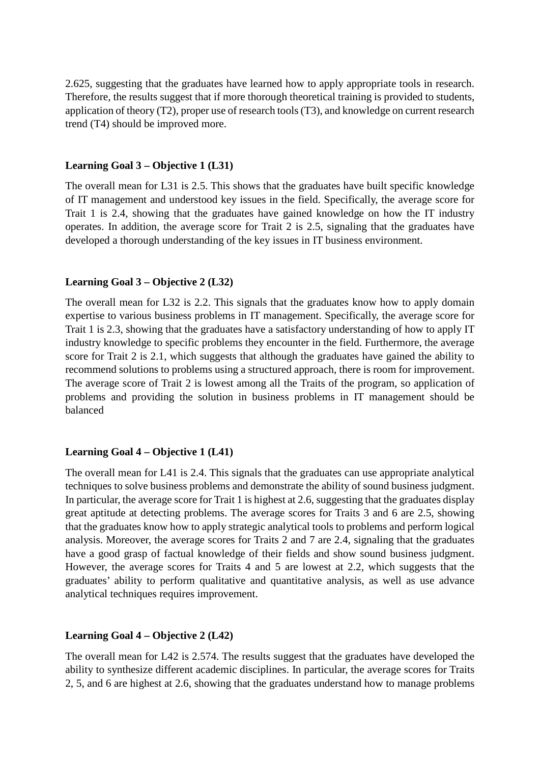2.625, suggesting that the graduates have learned how to apply appropriate tools in research. Therefore, the results suggest that if more thorough theoretical training is provided to students, application of theory (T2), proper use of research tools (T3), and knowledge on current research trend (T4) should be improved more.

#### **Learning Goal 3 – Objective 1 (L31)**

The overall mean for L31 is 2.5. This shows that the graduates have built specific knowledge of IT management and understood key issues in the field. Specifically, the average score for Trait 1 is 2.4, showing that the graduates have gained knowledge on how the IT industry operates. In addition, the average score for Trait 2 is 2.5, signaling that the graduates have developed a thorough understanding of the key issues in IT business environment.

### **Learning Goal 3 – Objective 2 (L32)**

The overall mean for L32 is 2.2. This signals that the graduates know how to apply domain expertise to various business problems in IT management. Specifically, the average score for Trait 1 is 2.3, showing that the graduates have a satisfactory understanding of how to apply IT industry knowledge to specific problems they encounter in the field. Furthermore, the average score for Trait 2 is 2.1, which suggests that although the graduates have gained the ability to recommend solutions to problems using a structured approach, there is room for improvement. The average score of Trait 2 is lowest among all the Traits of the program, so application of problems and providing the solution in business problems in IT management should be balanced

#### **Learning Goal 4 – Objective 1 (L41)**

The overall mean for L41 is 2.4. This signals that the graduates can use appropriate analytical techniques to solve business problems and demonstrate the ability of sound business judgment. In particular, the average score for Trait 1 is highest at 2.6, suggesting that the graduates display great aptitude at detecting problems. The average scores for Traits 3 and 6 are 2.5, showing that the graduates know how to apply strategic analytical tools to problems and perform logical analysis. Moreover, the average scores for Traits 2 and 7 are 2.4, signaling that the graduates have a good grasp of factual knowledge of their fields and show sound business judgment. However, the average scores for Traits 4 and 5 are lowest at 2.2, which suggests that the graduates' ability to perform qualitative and quantitative analysis, as well as use advance analytical techniques requires improvement.

#### **Learning Goal 4 – Objective 2 (L42)**

The overall mean for L42 is 2.574. The results suggest that the graduates have developed the ability to synthesize different academic disciplines. In particular, the average scores for Traits 2, 5, and 6 are highest at 2.6, showing that the graduates understand how to manage problems